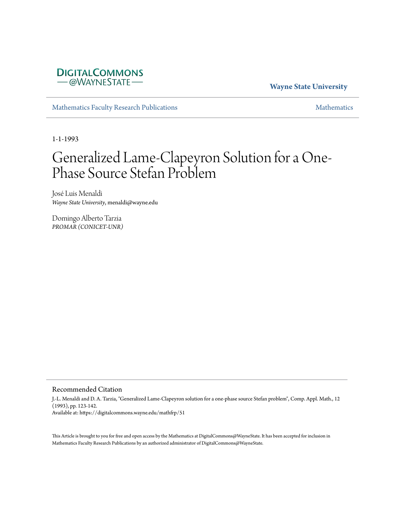

**Wayne State University**

[Mathematics Faculty Research Publications](https://digitalcommons.wayne.edu/mathfrp) and the mathematics of the [Mathematics](https://digitalcommons.wayne.edu/math) Mathematics Mathematics of the Mathematics of the Mathematics of the Mathematics of the Mathematics of the Mathematics of the Mathematics of

1-1-1993

## Generalized Lame-Clapeyron Solution for a One-Phase Source Stefan Problem

José Luis Menaldi *Wayne State University*, menaldi@wayne.edu

Domingo Alberto Tarzia *PROMAR (CONICET-UNR)*

#### Recommended Citation

J.-L. Menaldi and D. A. Tarzia, "Generalized Lame-Clapeyron solution for a one-phase source Stefan problem", Comp. Appl. Math., 12 (1993), pp. 123-142. Available at: https://digitalcommons.wayne.edu/mathfrp/51

This Article is brought to you for free and open access by the Mathematics at DigitalCommons@WayneState. It has been accepted for inclusion in Mathematics Faculty Research Publications by an authorized administrator of DigitalCommons@WayneState.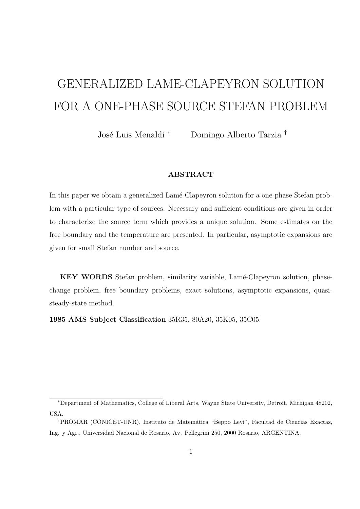# GENERALIZED LAME-CLAPEYRON SOLUTION FOR A ONE-PHASE SOURCE STEFAN PROBLEM

Jos´e Luis Menaldi *<sup>∗</sup>* Domingo Alberto Tarzia *†*

#### **ABSTRACT**

In this paper we obtain a generalized Lamé-Clapeyron solution for a one-phase Stefan problem with a particular type of sources. Necessary and sufficient conditions are given in order to characterize the source term which provides a unique solution. Some estimates on the free boundary and the temperature are presented. In particular, asymptotic expansions are given for small Stefan number and source.

**KEY WORDS** Stefan problem, similarity variable, Lamé-Clapeyron solution, phasechange problem, free boundary problems, exact solutions, asymptotic expansions, quasisteady-state method.

**1985 AMS Subject Classification** 35R35, 80A20, 35K05, 35C05.

*<sup>∗</sup>*Department of Mathematics, College of Liberal Arts, Wayne State University, Detroit, Michigan 48202, USA.

<sup>&</sup>lt;sup>†</sup>PROMAR (CONICET-UNR), Instituto de Matemática "Beppo Levi", Facultad de Ciencias Exactas, Ing. y Agr., Universidad Nacional de Rosario, Av. Pellegrini 250, 2000 Rosario, ARGENTINA.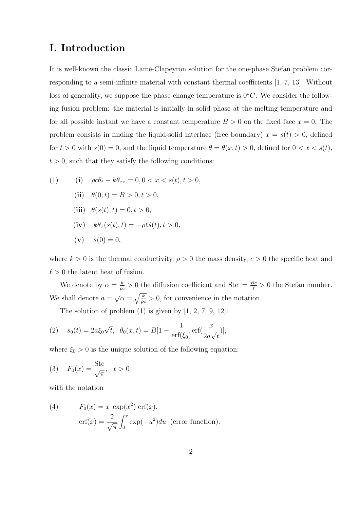## **I. Introduction**

It is well-known the classic Lamé-Clapeyron solution for the one-phase Stefan problem corresponding to a semi-infinite material with constant thermal coefficients [1, 7, 13]. Without loss of generality, we suppose the phase-change temperature is 0*◦C*. We consider the following fusion problem: the material is initially in solid phase at the melting temperature and for all possible instant we have a constant temperature  $B > 0$  on the fixed face  $x = 0$ . The problem consists in finding the liquid-solid interface (free boundary)  $x = s(t) > 0$ , defined for  $t > 0$  with  $s(0) = 0$ , and the liquid temperature  $\theta = \theta(x, t) > 0$ , defined for  $0 < x < s(t)$ ,  $t > 0$ , such that they satisfy the following conditions:

(1) (i) 
$$
\rho c \theta_t - k \theta_{xx} = 0, 0 < x < s(t), t > 0,
$$
  
\n(ii)  $\theta(0, t) = B > 0, t > 0,$   
\n(iii)  $\theta(s(t), t) = 0, t > 0,$   
\n(iv)  $k \theta_x(s(t), t) = -\rho \ell \dot{s}(t), t > 0,$   
\n(v)  $s(0) = 0,$ 

where  $k > 0$  is the thermal conductivity,  $\rho > 0$  the mass density,  $c > 0$  the specific heat and  $\ell > 0$  the latent heat of fusion.

We denote by  $\alpha = \frac{k}{\alpha}$  $\frac{k}{\rho c} > 0$  the diffusion coefficient and Ste =  $\frac{Bc}{\ell} > 0$  the Stefan number. We shall denote  $a =$ *√*  $\overline{\alpha} = \sqrt{\frac{k}{\alpha}}$  $\frac{k}{\rho c} > 0$ , for convenience in the notation.

The solution of problem  $(1)$  is given by  $[1, 2, 7, 9, 12]$ :

(2) 
$$
s_0(t) = 2a\xi_0\sqrt{t}, \ \theta_0(x,t) = B[1 - \frac{1}{\text{erf}(\xi_0)}\text{erf}(\frac{x}{2a\sqrt{t}})],
$$

where  $\xi_0 > 0$  is the unique solution of the following equation:

(3) 
$$
F_0(x) = \frac{\text{Ste}}{\sqrt{\pi}}, \ x > 0
$$

with the notation

(4) 
$$
F_0(x) = x \exp(x^2) \operatorname{erf}(x),
$$

$$
\operatorname{erf}(x) = \frac{2}{\sqrt{\pi}} \int_0^x \exp(-u^2) du \text{ (error function)}.
$$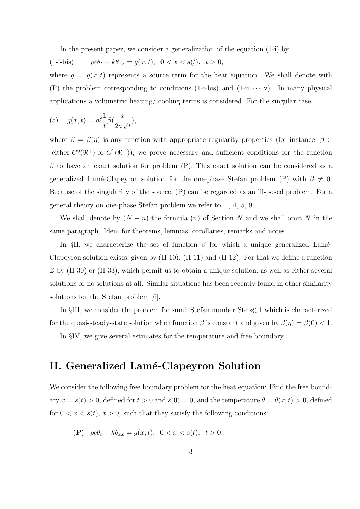In the present paper, we consider a generalization of the equation (1-i) by

(1-i-bis)  $\rho c \theta_t - k \theta_{xx} = g(x, t), \quad 0 < x < s(t), \quad t > 0,$ 

where  $g = g(x, t)$  represents a source term for the heat equation. We shall denote with (P) the problem corresponding to conditions  $(1-i-bis)$  and  $(1-i\cdots v)$ . In many physical applications a volumetric heating/ cooling terms is considered. For the singular case

(5) 
$$
g(x,t) = \rho \ell \frac{1}{t} \beta \left( \frac{x}{2a\sqrt{t}} \right),
$$

where  $\beta = \beta(\eta)$  is any function with appropriate regularity properties (for instance,  $\beta \in$ either  $C^0(\mathbb{R}^+)$  or  $C^1(\mathbb{R}^+)$ , we prove necessary and sufficient conditions for the function  $\beta$  to have an exact solution for problem (P). This exact solution can be considered as a generalized Lamé-Clapeyron solution for the one-phase Stefan problem (P) with  $\beta \neq 0$ . Because of the singularity of the source, (P) can be regarded as an ill-posed problem. For a general theory on one-phase Stefan problem we refer to [1, 4, 5, 9].

We shall denote by  $(N - n)$  the formula  $(n)$  of Section *N* and we shall omit *N* in the same paragraph. Idem for theorems, lemmas, corollaries, remarks and notes.

In  $\S$ II, we characterize the set of function  $\beta$  for which a unique generalized Lame-Clapeyron solution exists, given by  $(II-10)$ ,  $(II-11)$  and  $(II-12)$ . For that we define a function *Z* by (II-30) or (II-33), which permit us to obtain a unique solution, as well as either several solutions or no solutions at all. Similar situations has been recently found in other similarity solutions for the Stefan problem [6].

In *§*III, we consider the problem for small Stefan number Ste *≪* 1 which is characterized for the quasi-steady-state solution when function  $\beta$  is constant and given by  $\beta(\eta) = \beta(0) < 1$ .

In *§*IV, we give several estimates for the temperature and free boundary.

## **II. Generalized Lam´e-Clapeyron Solution**

We consider the following free boundary problem for the heat equation: Find the free boundary  $x = s(t) > 0$ , defined for  $t > 0$  and  $s(0) = 0$ , and the temperature  $\theta = \theta(x, t) > 0$ , defined for  $0 < x < s(t)$ ,  $t > 0$ , such that they satisfy the following conditions:

$$
\textbf{(P)}\quad \rho c\theta_t - k\theta_{xx} = g(x,t), \ \ 0 < x < s(t), \ \ t > 0,
$$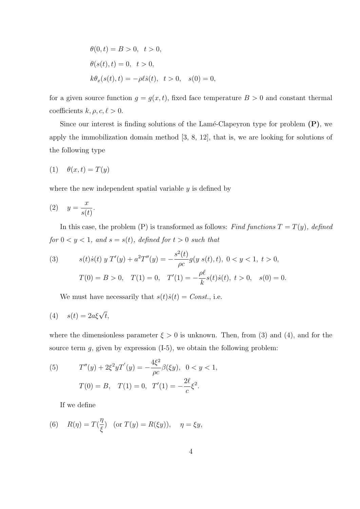$$
\theta(0, t) = B > 0, \quad t > 0,
$$
  
\n
$$
\theta(s(t), t) = 0, \quad t > 0,
$$
  
\n
$$
k\theta_x(s(t), t) = -\rho \ell \dot{s}(t), \quad t > 0, \quad s(0) = 0,
$$

for a given source function  $g = g(x, t)$ , fixed face temperature  $B > 0$  and constant thermal coefficients  $k, \rho, c, \ell > 0$ .

Since our interest is finding solutions of the Lamé-Clapeyron type for problem **(P)**, we apply the immobilization domain method [3, 8, 12], that is, we are looking for solutions of the following type

$$
(1) \quad \theta(x,t) = T(y)
$$

where the new independent spatial variable *y* is defined by

$$
(2) \quad y = \frac{x}{s(t)}.
$$

In this case, the problem  $(P)$  is transformed as follows: *Find functions*  $T = T(y)$ *, defined*  $for 0 < y < 1, and s = s(t), defined for t > 0 such that$ 

(3) 
$$
s(t)\dot{s}(t) y T'(y) + a^2 T''(y) = -\frac{s^2(t)}{\rho c} g(y s(t), t), 0 < y < 1, t > 0,
$$

$$
T(0) = B > 0, T(1) = 0, T'(1) = -\frac{\rho \ell}{k} s(t)\dot{s}(t), t > 0, s(0) = 0.
$$

We must have necessarily that  $s(t)\dot{s}(t) = Const.$ , i.e.

$$
(4) \t s(t) = 2a\xi\sqrt{t},
$$

where the dimensionless parameter  $\xi > 0$  is unknown. Then, from (3) and (4), and for the source term  $g$ , given by expression  $(I-5)$ , we obtain the following problem:

(5) 
$$
T''(y) + 2\xi^2 y T'(y) = -\frac{4\xi^2}{\rho c} \beta(\xi y), \quad 0 < y < 1,
$$

$$
T(0) = B, \quad T(1) = 0, \quad T'(1) = -\frac{2\ell}{c} \xi^2.
$$

If we define

(6) 
$$
R(\eta) = T(\frac{\eta}{\xi})
$$
 (or  $T(y) = R(\xi y)$ ),  $\eta = \xi y$ ,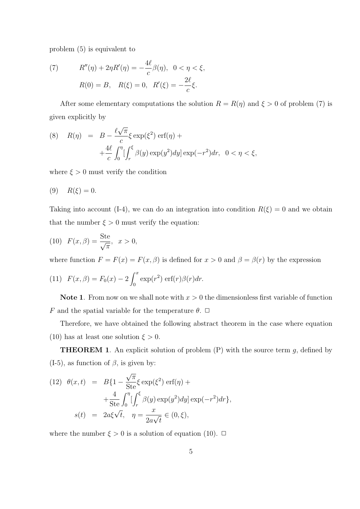problem (5) is equivalent to

(7) 
$$
R''(\eta) + 2\eta R'(\eta) = -\frac{4\ell}{c}\beta(\eta), \ \ 0 < \eta < \xi,
$$

$$
R(0) = B, \ \ R(\xi) = 0, \ \ R'(\xi) = -\frac{2\ell}{c}\xi.
$$

After some elementary computations the solution  $R = R(\eta)$  and  $\xi > 0$  of problem (7) is given explicitly by

(8) 
$$
R(\eta) = B - \frac{\ell \sqrt{\pi}}{c} \xi \exp(\xi^2) \operatorname{erf}(\eta) +
$$

$$
+ \frac{4\ell}{c} \int_0^{\eta} \left[ \int_r^{\xi} \beta(y) \exp(y^2) dy \right] \exp(-r^2) dr, \quad 0 < \eta < \xi,
$$

where  $\xi > 0$  must verify the condition

$$
(9) \t R(\xi) = 0.
$$

Taking into account (I-4), we can do an integration into condition  $R(\xi) = 0$  and we obtain that the number  $\xi > 0$  must verify the equation:

(10) 
$$
F(x, \beta) = \frac{\text{Ste}}{\sqrt{\pi}}, \ x > 0,
$$

where function  $F = F(x) = F(x, \beta)$  is defined for  $x > 0$  and  $\beta = \beta(r)$  by the expression

(11) 
$$
F(x, \beta) = F_0(x) - 2 \int_0^x \exp(r^2) \operatorname{erf}(r) \beta(r) dr.
$$

**Note 1.** From now on we shall note with  $x > 0$  the dimensionless first variable of function *F* and the spatial variable for the temperature  $\theta$ .  $\Box$ 

Therefore, we have obtained the following abstract theorem in the case where equation (10) has at least one solution  $\xi > 0$ .

**THEOREM 1**. An explicit solution of problem (P) with the source term *g*, defined by (I-5), as function of  $\beta$ , is given by:

(12) 
$$
\theta(x,t) = B\{1 - \frac{\sqrt{\pi}}{\text{Ste}} \xi \exp(\xi^2) \text{ erf}(\eta) + \frac{4}{\text{Ste}} \int_0^{\eta} \left[ \int_r^{\xi} \beta(y) \exp(y^2) dy \right] \exp(-r^2) dr \},
$$

$$
s(t) = 2a\xi \sqrt{t}, \quad \eta = \frac{x}{2a\sqrt{t}} \in (0,\xi),
$$

where the number  $\xi > 0$  is a solution of equation (10).  $\Box$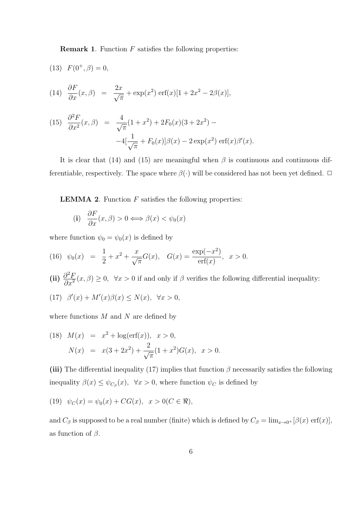**Remark 1**. Function *F* satisfies the following properties:

(13) 
$$
F(0^+, \beta) = 0
$$
,

(14) 
$$
\frac{\partial F}{\partial x}(x,\beta) = \frac{2x}{\sqrt{\pi}} + \exp(x^2) \operatorname{erf}(x)[1 + 2x^2 - 2\beta(x)],
$$

(15) 
$$
\frac{\partial^2 F}{\partial x^2}(x,\beta) = \frac{4}{\sqrt{\pi}}(1+x^2) + 2F_0(x)(3+2x^2) - 4\left[\frac{1}{\sqrt{\pi}} + F_0(x)\right]\beta(x) - 2\exp(x^2)\operatorname{erf}(x)\beta'(x).
$$

It is clear that (14) and (15) are meaningful when  $\beta$  is continuous and continuous differentiable, respectively. The space where  $\beta(\cdot)$  will be considered has not been yet defined.  $\Box$ 

**LEMMA 2**. Function *F* satisfies the following properties:

(i) 
$$
\frac{\partial F}{\partial x}(x, \beta) > 0 \Longleftrightarrow \beta(x) < \psi_0(x)
$$

where function  $\psi_0 = \psi_0(x)$  is defined by

(16) 
$$
\psi_0(x) = \frac{1}{2} + x^2 + \frac{x}{\sqrt{\pi}} G(x), \quad G(x) = \frac{\exp(-x^2)}{\text{erf}(x)}, \quad x > 0.
$$

 $(iii)$   $\frac{\partial^2 F}{\partial x^2}$  $\frac{\partial F}{\partial x^2}(x,\beta) \geq 0$ ,  $\forall x > 0$  if and only if  $\beta$  verifies the following differential inequality:  $(17)$   $\beta'(x) + M'(x)\beta(x) \leq N(x), \forall x > 0,$ 

where functions *M* and *N* are defined by

(18) 
$$
M(x) = x^2 + \log(\text{erf}(x)), \quad x > 0,
$$
  
\n $N(x) = x(3 + 2x^2) + \frac{2}{\sqrt{\pi}}(1 + x^2)G(x), \quad x > 0.$ 

(iii) The differential inequality (17) implies that function  $\beta$  necessarily satisfies the following inequality  $\beta(x) \leq \psi_{C_{\beta}}(x)$ ,  $\forall x > 0$ , where function  $\psi_C$  is defined by

(19) 
$$
\psi_C(x) = \psi_0(x) + CG(x), \quad x > 0 (C \in \mathbb{R}),
$$

and  $C_{\beta}$  is supposed to be a real number (finite) which is defined by  $C_{\beta} = \lim_{x\to 0^+} [\beta(x) \text{ erf}(x)],$ as function of *β*.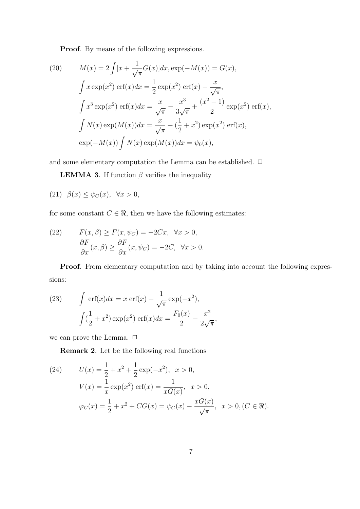**Proof**. By means of the following expressions.

(20) 
$$
M(x) = 2 \int [x + \frac{1}{\sqrt{\pi}} G(x)] dx, \exp(-M(x)) = G(x),
$$

$$
\int x \exp(x^2) \operatorname{erf}(x) dx = \frac{1}{2} \exp(x^2) \operatorname{erf}(x) - \frac{x}{\sqrt{\pi}},
$$

$$
\int x^3 \exp(x^2) \operatorname{erf}(x) dx = \frac{x}{\sqrt{\pi}} - \frac{x^3}{3\sqrt{\pi}} + \frac{(x^2 - 1)}{2} \exp(x^2) \operatorname{erf}(x),
$$

$$
\int N(x) \exp(M(x)) dx = \frac{x}{\sqrt{\pi}} + (\frac{1}{2} + x^2) \exp(x^2) \operatorname{erf}(x),
$$

$$
\exp(-M(x)) \int N(x) \exp(M(x)) dx = \psi_0(x),
$$

and some elementary computation the Lemma can be established.  $\Box$ 

**LEMMA 3**. If function  $\beta$  verifies the inequality

$$
(21) \quad \beta(x) \le \psi_C(x), \quad \forall x > 0,
$$

for some constant  $C \in \mathcal{R}$ , then we have the following estimates:

(22) 
$$
F(x, \beta) \ge F(x, \psi_C) = -2Cx, \quad \forall x > 0,
$$

$$
\frac{\partial F}{\partial x}(x, \beta) \ge \frac{\partial F}{\partial x}(x, \psi_C) = -2C, \quad \forall x > 0.
$$

**Proof**. From elementary computation and by taking into account the following expressions:

(23) 
$$
\int \text{erf}(x)dx = x \text{ erf}(x) + \frac{1}{\sqrt{\pi}} \exp(-x^2),
$$

$$
\int (\frac{1}{2} + x^2) \exp(x^2) \text{ erf}(x)dx = \frac{F_0(x)}{2} - \frac{x^2}{2\sqrt{\pi}},
$$

we can prove the Lemma.  $\Box$ 

**Remark 2**. Let be the following real functions

(24) 
$$
U(x) = \frac{1}{2} + x^2 + \frac{1}{2} \exp(-x^2), \quad x > 0,
$$

$$
V(x) = \frac{1}{x} \exp(x^2) \operatorname{erf}(x) = \frac{1}{xG(x)}, \quad x > 0,
$$

$$
\varphi_C(x) = \frac{1}{2} + x^2 + CG(x) = \psi_C(x) - \frac{xG(x)}{\sqrt{\pi}}, \quad x > 0, (C \in \mathbb{R}).
$$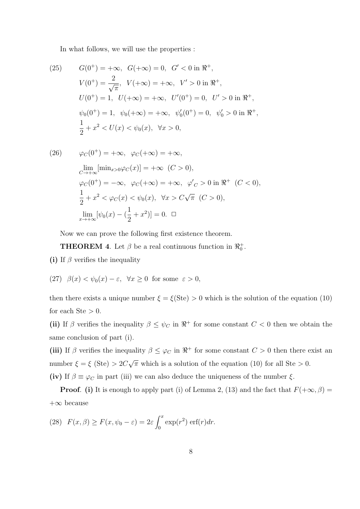In what follows, we will use the properties :

(25) 
$$
G(0^+) = +\infty, \quad G(+\infty) = 0, \quad G' < 0 \text{ in } \mathbb{R}^+,
$$
\n
$$
V(0^+) = \frac{2}{\sqrt{\pi}}, \quad V(+\infty) = +\infty, \quad V' > 0 \text{ in } \mathbb{R}^+,
$$
\n
$$
U(0^+) = 1, \quad U(+\infty) = +\infty, \quad U'(0^+) = 0, \quad U' > 0 \text{ in } \mathbb{R}^+,
$$
\n
$$
\psi_0(0^+) = 1, \quad \psi_0(+\infty) = +\infty, \quad \psi_0'(0^+) = 0, \quad \psi_0' > 0 \text{ in } \mathbb{R}^+,
$$
\n
$$
\frac{1}{2} + x^2 < U(x) < \psi_0(x), \quad \forall x > 0,
$$

(26) 
$$
\varphi_C(0^+) = +\infty, \quad \varphi_C(+\infty) = +\infty,
$$
  
\n
$$
\lim_{C \to +\infty} [\min_{x>0} \varphi_C(x)] = +\infty \quad (C > 0),
$$
  
\n
$$
\varphi_C(0^+) = -\infty, \quad \varphi_C(+\infty) = +\infty, \quad \varphi_C' > 0 \text{ in } \Re^+ \quad (C < 0),
$$
  
\n
$$
\frac{1}{2} + x^2 < \varphi_C(x) < \psi_0(x), \quad \forall x > C\sqrt{\pi} \quad (C > 0),
$$
  
\n
$$
\lim_{x \to +\infty} [\psi_0(x) - (\frac{1}{2} + x^2)] = 0. \quad \Box
$$

Now we can prove the following first existence theorem.

**THEOREM 4**. Let  $\beta$  be a real continuous function in  $\Re_0^+$ .

- **(i)** If *β* verifies the inequality
- (27)  $\beta(x) < \psi_0(x) \varepsilon$ ,  $\forall x \ge 0$  for some  $\varepsilon > 0$ ,

then there exists a unique number  $\xi = \xi$ (Ste) > 0 which is the solution of the equation (10) for each  $Ste > 0$ .

(ii) If *β* verifies the inequality  $\beta \leq \psi_C$  in  $\Re^+$  for some constant  $C < 0$  then we obtain the same conclusion of part (i).

(iii) If *β* verifies the inequality  $\beta \leq \varphi_C$  in  $\Re^+$  for some constant  $C > 0$  then there exist an number  $\xi = \xi$  (Ste)  $> 2C$ *√*  $\overline{\pi}$  which is a solution of the equation (10) for all Ste  $> 0$ . (iv) If  $\beta \equiv \varphi_C$  in part (iii) we can also deduce the uniqueness of the number  $\xi$ .

**Proof.** (i) It is enough to apply part (i) of Lemma 2, (13) and the fact that  $F(+\infty, \beta) =$ +*∞* because

(28) 
$$
F(x, \beta) \ge F(x, \psi_0 - \varepsilon) = 2\varepsilon \int_0^x \exp(r^2) \operatorname{erf}(r) dr.
$$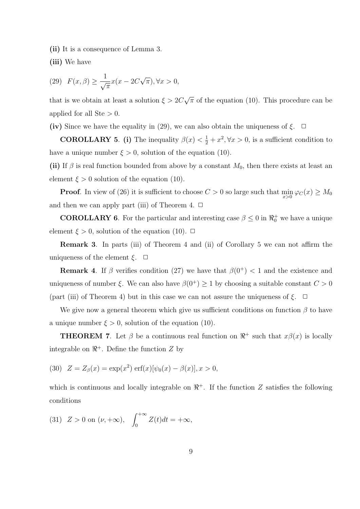**(ii)** It is a consequence of Lemma 3.

**(iii)** We have

(29) 
$$
F(x, \beta) \ge \frac{1}{\sqrt{\pi}} x(x - 2C\sqrt{\pi}), \forall x > 0,
$$

that is we obtain at least a solution  $\xi > 2C$ *√ π* of the equation (10). This procedure can be applied for all Ste *>* 0.

**(iv)** Since we have the equality in (29), we can also obtain the uniqueness of  $\xi$ .  $\Box$ 

**COROLLARY 5.** (i) The inequality  $\beta(x) < \frac{1}{2} + x^2, \forall x > 0$ , is a sufficient condition to have a unique number  $\xi > 0$ , solution of the equation (10).

(ii) If  $\beta$  is real function bounded from above by a constant  $M_0$ , then there exists at least an element  $\xi > 0$  solution of the equation (10).

**Proof**. In view of (26) it is sufficient to choose  $C > 0$  so large such that  $\min_{x>0} \varphi_C(x) \ge M_0$ and then we can apply part (iii) of Theorem 4.  $\Box$ 

**COROLLARY 6**. For the particular and interesting case  $\beta \leq 0$  in  $\Re_0^+$  we have a unique element  $\xi > 0$ , solution of the equation (10).  $\Box$ 

**Remark 3**. In parts (iii) of Theorem 4 and (ii) of Corollary 5 we can not affirm the uniqueness of the element  $\xi$ .  $\Box$ 

**Remark 4.** If  $\beta$  verifies condition (27) we have that  $\beta(0^+)$  < 1 and the existence and uniqueness of number *ξ*. We can also have  $\beta(0^+) \geq 1$  by choosing a suitable constant  $C > 0$ (part (iii) of Theorem 4) but in this case we can not assure the uniqueness of  $\xi$ .  $\Box$ 

We give now a general theorem which give us sufficient conditions on function *β* to have a unique number  $\xi > 0$ , solution of the equation (10).

**THEOREM 7**. Let  $\beta$  be a continuous real function on  $\mathbb{R}^+$  such that  $x\beta(x)$  is locally integrable on  $\mathbb{R}^+$ . Define the function  $Z$  by

(30) 
$$
Z = Z_{\beta}(x) = \exp(x^2) \operatorname{erf}(x) [\psi_0(x) - \beta(x)], x > 0,
$$

which is continuous and locally integrable on  $\mathbb{R}^+$ . If the function *Z* satisfies the following conditions

(31) 
$$
Z > 0
$$
 on  $(\nu, +\infty)$ ,  $\int_0^{+\infty} Z(t)dt = +\infty$ ,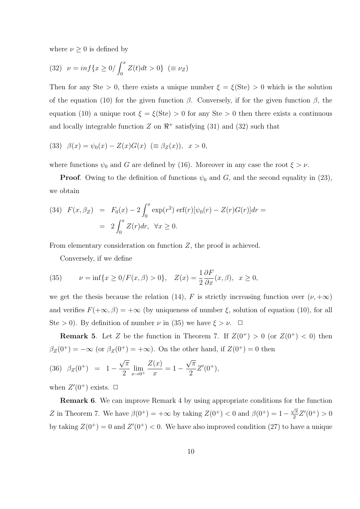where  $\nu \geq 0$  is defined by

(32) 
$$
\nu = \inf\{x \ge 0/\int_0^x Z(t)dt > 0\} \ (\equiv \nu_Z)
$$

Then for any Ste  $> 0$ , there exists a unique number  $\xi = \xi(\text{Ste}) > 0$  which is the solution of the equation (10) for the given function *β*. Conversely, if for the given function *β*, the equation (10) a unique root  $\xi = \xi$ (Ste) > 0 for any Ste > 0 then there exists a continuous and locally integrable function  $Z$  on  $\mathbb{R}^+$  satisfying (31) and (32) such that

(33) 
$$
\beta(x) = \psi_0(x) - Z(x)G(x) \ (\equiv \beta_Z(x)), \ x > 0,
$$

where functions  $\psi_0$  and *G* are defined by (16). Moreover in any case the root  $\xi > \nu$ .

**Proof**. Owing to the definition of functions  $\psi_0$  and *G*, and the second equality in (23), we obtain

(34) 
$$
F(x, \beta_Z) = F_0(x) - 2 \int_0^x \exp(r^2) \operatorname{erf}(r) [\psi_0(r) - Z(r)G(r)] dr =
$$
  
=  $2 \int_0^x Z(r) dr, \ \forall x \ge 0.$ 

From elementary consideration on function *Z*, the proof is achieved.

Conversely, if we define

(35) 
$$
\nu = \inf\{x \ge 0/F(x,\beta) > 0\}, \quad Z(x) = \frac{1}{2}\frac{\partial F}{\partial x}(x,\beta), \quad x \ge 0,
$$

we get the thesis because the relation (14), *F* is strictly increasing function over  $(\nu, +\infty)$ and verifies  $F(+\infty, \beta) = +\infty$  (by uniqueness of number  $\xi$ , solution of equation (10), for all Ste > 0). By definition of number  $\nu$  in (35) we have  $\xi > \nu$ .  $\Box$ 

**Remark 5**. Let *Z* be the function in Theorem 7. If  $Z(0^+) > 0$  (or  $Z(0^+) < 0$ ) then  $\beta_Z(0^+) = -\infty$  (or  $\beta_Z(0^+) = +\infty$ ). On the other hand, if  $Z(0^+) = 0$  then

(36) 
$$
\beta_Z(0^+) = 1 - \frac{\sqrt{\pi}}{2} \lim_{x \to 0^+} \frac{Z(x)}{x} = 1 - \frac{\sqrt{\pi}}{2} Z'(0^+),
$$

when  $Z'(0^+)$  exists.  $\Box$ 

**Remark 6**. We can improve Remark 4 by using appropriate conditions for the function *Z* in Theorem 7. We have  $\beta(0^+) = +\infty$  by taking  $Z(0^+) < 0$  and  $\beta(0^+) = 1 - \frac{\sqrt{\pi}}{2}$  $\frac{\sqrt{\pi}}{2}Z'(0^+) > 0$ by taking  $Z(0^+) = 0$  and  $Z'(0^+) < 0$ . We have also improved condition (27) to have a unique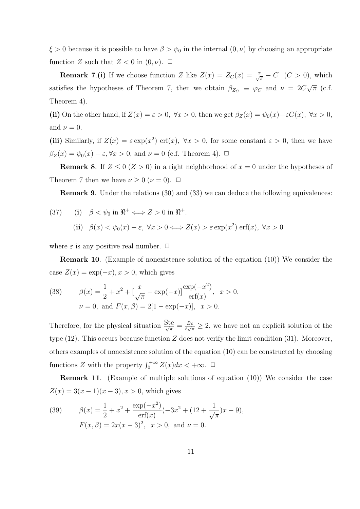$\xi > 0$  because it is possible to have  $\beta > \psi_0$  in the internal  $(0, \nu)$  by choosing an appropriate function *Z* such that  $Z < 0$  in  $(0, \nu)$ .  $\Box$ 

**Remark 7.(i)** If we choose function *Z* like  $Z(x) = Z_C(x) = \frac{x}{\sqrt{\pi}} - C$  (*C* > 0), which satisfies the hypotheses of Theorem 7, then we obtain  $\beta_{Z_C} \equiv \varphi_C$  and  $\nu = 2C$ *√ π* (c.f. Theorem 4).

(ii) On the other hand, if  $Z(x) = \varepsilon > 0$ ,  $\forall x > 0$ , then we get  $\beta_Z(x) = \psi_0(x) - \varepsilon G(x)$ ,  $\forall x > 0$ , and  $\nu = 0$ .

(iii) Similarly, if  $Z(x) = \varepsilon \exp(x^2) \operatorname{erf}(x)$ ,  $\forall x > 0$ , for some constant  $\varepsilon > 0$ , then we have  $β$ <sub>*Z*</sub>(*x*) =  $ψ$ <sub>0</sub>(*x*) −  $ε$ ,  $∀x > 0$ , and  $ν = 0$  (c.f. Theorem 4).  $□$ 

**Remark 8**. If  $Z \leq 0$  ( $Z > 0$ ) in a right neighborhood of  $x = 0$  under the hypotheses of Theorem 7 then we have  $\nu \geq 0$  ( $\nu = 0$ ).  $\Box$ 

**Remark 9.** Under the relations (30) and (33) we can deduce the following equivalences:

(37) (i) 
$$
\beta < \psi_0
$$
 in  $\mathbb{R}^+ \Longleftrightarrow Z > 0$  in  $\mathbb{R}^+$ .  
\n(ii)  $\beta(x) < \psi_0(x) - \varepsilon$ ,  $\forall x > 0 \Longleftrightarrow Z(x) > \varepsilon \exp(x^2) \text{ erf}(x)$ ,  $\forall x > 0$ 

where  $\varepsilon$  is any positive real number.  $\Box$ 

**Remark 10**. (Example of nonexistence solution of the equation (10)) We consider the case  $Z(x) = \exp(-x), x > 0$ , which gives

(38) 
$$
\beta(x) = \frac{1}{2} + x^2 + \left[\frac{x}{\sqrt{\pi}} - \exp(-x)\right] \frac{\exp(-x^2)}{\exp(x)}, \ x > 0,
$$

$$
\nu = 0, \text{ and } F(x, \beta) = 2[1 - \exp(-x)], \ x > 0.
$$

Therefore, for the physical situation  $\frac{\text{Ste}}{\sqrt{\pi}} = \frac{Bc}{\ell \sqrt{\pi}}$  $\frac{Bc}{\ell\sqrt{\pi}} \geq 2$ , we have not an explicit solution of the type (12). This occurs because function *Z* does not verify the limit condition (31). Moreover, others examples of nonexistence solution of the equation (10) can be constructed by choosing functions *Z* with the property  $\int_0^{+\infty} Z(x) dx < +\infty$ .  $\Box$ 

**Remark 11**. (Example of multiple solutions of equation (10)) We consider the case  $Z(x) = 3(x - 1)(x - 3), x > 0$ , which gives

(39) 
$$
\beta(x) = \frac{1}{2} + x^2 + \frac{\exp(-x^2)}{\mathrm{erf}(x)}(-3x^2 + (12 + \frac{1}{\sqrt{\pi}})x - 9),
$$

$$
F(x, \beta) = 2x(x - 3)^2, \quad x > 0, \text{ and } \nu = 0.
$$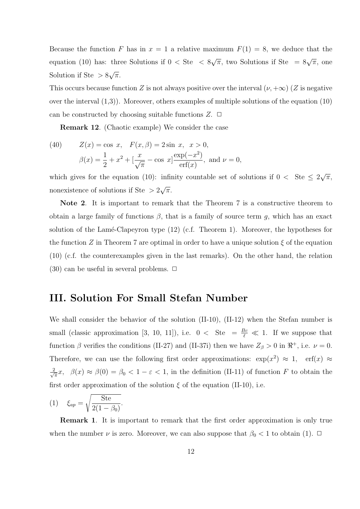Because the function *F* has in  $x = 1$  a relative maximum  $F(1) = 8$ , we deduce that the equation (10) has: three Solutions if 0 *<* Ste *<* 8  $\sqrt{\pi}$ , two Solutions if Ste =  $8\sqrt{\pi}$ , one Solution if Ste *>* 8 *√ π*.

This occurs because function *Z* is not always positive over the interval  $(\nu, +\infty)$  (*Z* is negative over the interval  $(1,3)$ ). Moreover, others examples of multiple solutions of the equation  $(10)$ can be constructed by choosing suitable functions  $Z$ .  $\Box$ 

**Remark 12**. (Chaotic example) We consider the case

(40) 
$$
Z(x) = \cos x, \quad F(x, \beta) = 2 \sin x, \quad x > 0,
$$

$$
\beta(x) = \frac{1}{2} + x^2 + \left[\frac{x}{\sqrt{\pi}} - \cos x\right] \frac{\exp(-x^2)}{\exp(x)}, \text{ and } \nu = 0,
$$

which gives for the equation (10): infinity countable set of solutions if  $0 <$  Ste  $\leq 2$ *√ π*, nonexistence of solutions if Ste *>* 2 *√ π*.

**Note 2**. It is important to remark that the Theorem 7 is a constructive theorem to obtain a large family of functions  $\beta$ , that is a family of source term *g*, which has an exact solution of the Lamé-Clapeyron type  $(12)$  (c.f. Theorem 1). Moreover, the hypotheses for the function *Z* in Theorem 7 are optimal in order to have a unique solution  $\xi$  of the equation (10) (c.f. the counterexamples given in the last remarks). On the other hand, the relation  $(30)$  can be useful in several problems.  $\Box$ 

### **III. Solution For Small Stefan Number**

We shall consider the behavior of the solution (II-10), (II-12) when the Stefan number is small (classic approximation [3, 10, 11]), i.e.  $0 <$  Ste =  $\frac{Bc}{\ell} \ll 1$ . If we suppose that function  $\beta$  verifies the conditions (II-27) and (II-37i) then we have  $Z_{\beta} > 0$  in  $\mathbb{R}^+$ , i.e.  $\nu = 0$ . Therefore, we can use the following first order approximations:  $\exp(x^2) \approx 1$ ,  $\exp(x) \approx$ *√* 2  $\frac{d^2}{dt^2}x$ ,  $\beta(x) \approx \beta(0) = \beta_0 < 1 - \varepsilon < 1$ , in the definition (II-11) of function *F* to obtain the first order approximation of the solution  $\xi$  of the equation (II-10), i.e.

$$
(1) \quad \xi_{ap} = \sqrt{\frac{\text{Ste}}{2(1-\beta_0)}}.
$$

**Remark 1**. It is important to remark that the first order approximation is only true when the number  $\nu$  is zero. Moreover, we can also suppose that  $\beta_0 < 1$  to obtain (1).  $\Box$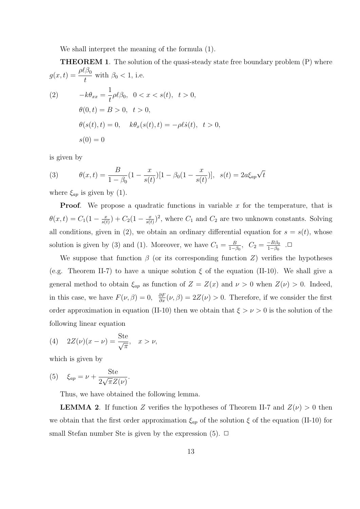We shall interpret the meaning of the formula (1).

**THEOREM 1**. The solution of the quasi-steady state free boundary problem (P) where  $g(x,t) = \frac{\rho \ell \beta_0}{l}$  $\frac{1}{t}$  with  $\beta_0 < 1$ , i.e.

(2) 
$$
-k\theta_{xx} = \frac{1}{t}\rho \ell \beta_0, \quad 0 < x < s(t), \quad t > 0, \\
\theta(0, t) = B > 0, \quad t > 0, \\
\theta(s(t), t) = 0, \quad k\theta_x(s(t), t) = -\rho \ell \dot{s}(t), \quad t > 0, \\
s(0) = 0
$$

is given by

(3) 
$$
\theta(x,t) = \frac{B}{1-\beta_0}(1-\frac{x}{s(t)})[1-\beta_0(1-\frac{x}{s(t)})], \quad s(t) = 2a\xi_{ap}\sqrt{t}
$$

where  $\xi_{ap}$  is given by (1).

**Proof.** We propose a quadratic functions in variable x for the temperature, that is  $\theta(x,t) = C_1(1 - \frac{x}{s(t)})$  $\frac{x}{s(t)}$ ) +  $C_2(1-\frac{x}{s(t)})$  $\frac{x}{s(t)}$ <sup>2</sup>, where  $C_1$  and  $C_2$  are two unknown constants. Solving all conditions, given in (2), we obtain an ordinary differential equation for  $s = s(t)$ , whose solution is given by (3) and (1). Moreover, we have  $C_1 = \frac{B}{1-\epsilon}$  $\frac{B}{1-\beta_0}$ ,  $C_2 = \frac{-B\beta_0}{1-\beta_0}$  $\frac{-B\beta_0}{1-\beta_0}$ .

We suppose that function  $\beta$  (or its corresponding function *Z*) verifies the hypotheses (e.g. Theorem II-7) to have a unique solution  $\xi$  of the equation (II-10). We shall give a general method to obtain  $\xi_{ap}$  as function of  $Z = Z(x)$  and  $\nu > 0$  when  $Z(\nu) > 0$ . Indeed, in this case, we have  $F(\nu, \beta) = 0$ ,  $\frac{\partial F}{\partial x}(\nu, \beta) = 2Z(\nu) > 0$ . Therefore, if we consider the first order approximation in equation (II-10) then we obtain that *ξ > ν >* 0 is the solution of the following linear equation

(4) 
$$
2Z(\nu)(x-\nu) = \frac{\text{Ste}}{\sqrt{\pi}}, \quad x > \nu,
$$

which is given by

(5) 
$$
\xi_{ap} = \nu + \frac{\text{Ste}}{2\sqrt{\pi}Z(\nu)}.
$$

Thus, we have obtained the following lemma.

**LEMMA 2**. If function *Z* verifies the hypotheses of Theorem II-7 and  $Z(\nu) > 0$  then we obtain that the first order approximation  $\xi_{ap}$  of the solution  $\xi$  of the equation (II-10) for small Stefan number Ste is given by the expression  $(5)$ .  $\Box$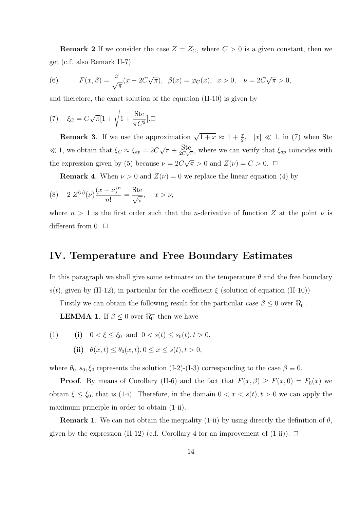**Remark 2** If we consider the case  $Z = Z_C$ , where  $C > 0$  is a given constant, then we get (c.f. also Remark II-7)

(6) 
$$
F(x, \beta) = \frac{x}{\sqrt{\pi}} (x - 2C\sqrt{\pi}), \ \beta(x) = \varphi_C(x), \ x > 0, \ \nu = 2C\sqrt{\pi} > 0,
$$

and therefore, the exact solution of the equation (II-10) is given by

(7) 
$$
\xi_C = C\sqrt{\pi}[1 + \sqrt{1 + \frac{\text{Ste}}{\pi C^2}}].\Box
$$

**Remark 3**. If we use the approximation  $\sqrt{1+x} \approx 1 + \frac{x}{2}$ ,  $|x| \ll 1$ , in (7) when Ste *≪* 1, we obtain that *ξ<sup>C</sup> ≈ ξap* = 2*C √*  $\overline{\pi}$  +  $\frac{\text{Ste}}{2C\sqrt{\pi}}$ , where we can verify that  $\xi_{ap}$  coincides with the expression given by (5) because  $\nu = 2C$ *√*  $\overline{\pi} > 0$  and  $Z(\nu) = C > 0$ .  $\Box$ 

**Remark 4.** When  $\nu > 0$  and  $Z(\nu) = 0$  we replace the linear equation (4) by

(8) 
$$
2 Z^{(n)}(\nu) \frac{(x - \nu)^n}{n!} = \frac{\text{Ste}}{\sqrt{\pi}}, \quad x > \nu,
$$

where  $n > 1$  is the first order such that the *n*-derivative of function Z at the point  $\nu$  is different from  $0. \Box$ 

#### **IV. Temperature and Free Boundary Estimates**

In this paragraph we shall give some estimates on the temperature  $\theta$  and the free boundary  $s(t)$ , given by (II-12), in particular for the coefficient  $\xi$  (solution of equation (II-10))

Firstly we can obtain the following result for the particular case  $\beta \leq 0$  over  $\Re_0^+$ .

**LEMMA 1**. If  $\beta \leq 0$  over  $\Re_0^+$  then we have

(1) (i) 
$$
0 < \xi \le \xi_0
$$
 and  $0 < s(t) \le s_0(t), t > 0$ ,  
(ii)  $\theta(x, t) \le \theta_0(x, t), 0 \le x \le s(t), t > 0$ ,

where  $\theta_0$ ,  $s_0$ ,  $\xi_0$  represents the solution (I-2)-(I-3) corresponding to the case  $\beta \equiv 0$ .

**Proof**. By means of Corollary (II-6) and the fact that  $F(x, \beta) \geq F(x, 0) = F_0(x)$  we obtain  $\xi \leq \xi_0$ , that is (1-i). Therefore, in the domain  $0 < x < s(t)$ ,  $t > 0$  we can apply the maximum principle in order to obtain (1-ii).

**Remark 1**. We can not obtain the inequality (1-ii) by using directly the definition of  $\theta$ , given by the expression (II-12) (c.f. Corollary 4 for an improvement of  $(1-i)$ ).  $\Box$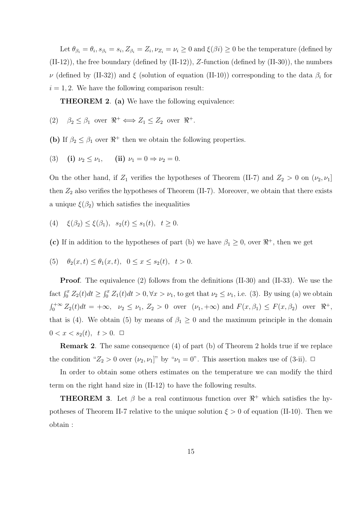Let  $\theta_{\beta_i} = \theta_i$ ,  $s_{\beta_i} = s_i$ ,  $Z_{\beta_i} = Z_i$ ,  $\nu_{Z_i} = \nu_i \geq 0$  and  $\xi(\beta_i) \geq 0$  be the temperature (defined by (II-12)), the free boundary (defined by (II-12)), *Z*-function (defined by (II-30)), the numbers *ν* (defined by (II-32)) and *ξ* (solution of equation (II-10)) corresponding to the data *β<sup>i</sup>* for  $i = 1, 2$ . We have the following comparison result:

**THEOREM 2**. **(a)** We have the following equivalence:

- (2)  $\beta_2 \leq \beta_1$  over  $\Re^+ \Longleftrightarrow Z_1 \leq Z_2$  over  $\Re^+$ .
- **(b)** If  $\beta_2 \leq \beta_1$  over  $\Re^+$  then we obtain the following properties.
- (3) **(i)**  $\nu_2 \leq \nu_1$ , **(ii)**  $\nu_1 = 0 \Rightarrow \nu_2 = 0$ .

On the other hand, if  $Z_1$  verifies the hypotheses of Theorem (II-7) and  $Z_2 > 0$  on  $(\nu_2, \nu_1]$ then  $Z_2$  also verifies the hypotheses of Theorem (II-7). Moreover, we obtain that there exists a unique  $\xi(\beta_2)$  which satisfies the inequalities

(4)  $\xi(\beta_2) < \xi(\beta_1), s_2(t) < s_1(t), t \geq 0.$ 

(c) If in addition to the hypotheses of part (b) we have  $\beta_1 \geq 0$ , over  $\Re^+$ , then we get

(5)  $\theta_2(x,t) \leq \theta_1(x,t)$ ,  $0 \leq x \leq s_2(t)$ ,  $t > 0$ .

**Proof**. The equivalence (2) follows from the definitions (II-30) and (II-33). We use the fact  $\int_0^x Z_2(t)dt \geq \int_0^x Z_1(t)dt > 0, \forall x > \nu_1$ , to get that  $\nu_2 \leq \nu_1$ , i.e. (3). By using (a) we obtain  $\int_0^{+\infty} Z_2(t)dt = +\infty$ ,  $\nu_2 \le \nu_1$ ,  $Z_2 > 0$  over  $(\nu_1, +\infty)$  and  $F(x, \beta_1) \le F(x, \beta_2)$  over  $\Re^+,$ that is (4). We obtain (5) by means of  $\beta_1 \geq 0$  and the maximum principle in the domain  $0 < x < s_2(t), t > 0. \square$ 

**Remark 2**. The same consequence (4) of part (b) of Theorem 2 holds true if we replace the condition " $Z_2 > 0$  over  $(\nu_2, \nu_1]$ " by " $\nu_1 = 0$ ". This assertion makes use of (3-ii).  $\Box$ 

In order to obtain some others estimates on the temperature we can modify the third term on the right hand size in (II-12) to have the following results.

**THEOREM 3**. Let  $\beta$  be a real continuous function over  $\mathbb{R}^+$  which satisfies the hypotheses of Theorem II-7 relative to the unique solution  $\xi > 0$  of equation (II-10). Then we obtain :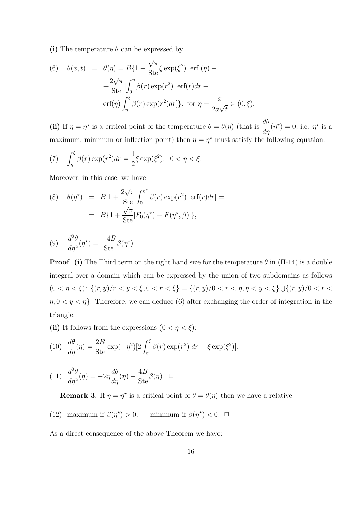**(i)** The temperature *θ* can be expressed by

(6) 
$$
\theta(x,t) = \theta(\eta) = B\{1 - \frac{\sqrt{\pi}}{\text{Ste}} \xi \exp(\xi^2) \text{ erf }(\eta) + \frac{2\sqrt{\pi}}{\text{Ste}} \left[ \int_0^{\eta} \beta(r) \exp(r^2) \text{ erf}(r) dr + \text{erf}(\eta) \int_{\eta}^{\xi} \beta(r) \exp(r^2) dr \right], \text{ for } \eta = \frac{x}{2a\sqrt{t}} \in (0,\xi).
$$

(ii) If  $\eta = \eta^*$  is a critical point of the temperature  $\theta = \theta(\eta)$  (that is  $\frac{d\theta}{d\eta}$  $\frac{dv}{d\eta}(\eta^*) = 0$ , i.e.  $\eta^*$  is a maximum, minimum or inflection point) then  $\eta = \eta^*$  must satisfy the following equation:

(7) 
$$
\int_{\eta}^{\xi} \beta(r) \exp(r^2) dr = \frac{1}{2} \xi \exp(\xi^2), \ \ 0 < \eta < \xi.
$$

Moreover, in this case, we have

(8) 
$$
\theta(\eta^*) = B[1 + \frac{2\sqrt{\pi}}{\text{Ste}} \int_0^{\eta^*} \beta(r) \exp(r^2) \text{ erf}(r) dr] = B\{1 + \frac{\sqrt{\pi}}{\text{Ste}} [F_0(\eta^*) - F(\eta^*, \beta)]\},\}
$$

(9) 
$$
\frac{d^2\theta}{d\eta^2}(\eta^*) = \frac{-4B}{\text{Ste}}\beta(\eta^*).
$$

**Proof.** (i) The Third term on the right hand size for the temperature  $\theta$  in (II-14) is a double integral over a domain which can be expressed by the union of two subdomains as follows  $(0 < \eta < \xi)$ :  $\{(r, y)/r < y < \xi, 0 < r < \xi\} = \{(r, y)/0 < r < \eta, \eta < y < \xi\}$  $\eta$ ,  $0 < y < \eta$ . Therefore, we can deduce (6) after exchanging the order of integration in the triangle.

(ii) It follows from the expressions  $(0 < \eta < \xi)$ :

(10) 
$$
\frac{d\theta}{d\eta}(\eta) = \frac{2B}{\text{Ste}} \exp(-\eta^2) \left[2\int_{\eta}^{\xi} \beta(r) \exp(r^2) dr - \xi \exp(\xi^2)\right],
$$

(11) 
$$
\frac{d^2\theta}{d\eta^2}(\eta) = -2\eta \frac{d\theta}{d\eta}(\eta) - \frac{4B}{\text{Ste}}\beta(\eta). \quad \Box
$$

**Remark 3**. If  $\eta = \eta^*$  is a critical point of  $\theta = \theta(\eta)$  then we have a relative

(12) maximum if  $\beta(\eta^*) > 0$ , minimum if  $\beta(\eta^*) < 0$ .  $\Box$ 

As a direct consequence of the above Theorem we have: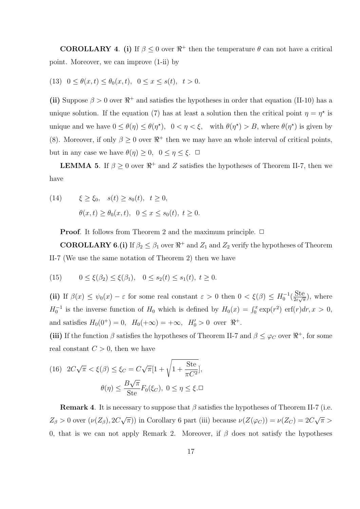**COROLLARY** 4. (i) If  $\beta \leq 0$  over  $\Re^+$  then the temperature  $\theta$  can not have a critical point. Moreover, we can improve (1-ii) by

(13)  $0 \le \theta(x,t) \le \theta_0(x,t)$ ,  $0 \le x \le s(t)$ ,  $t > 0$ .

(ii) Suppose  $\beta > 0$  over  $\Re^+$  and satisfies the hypotheses in order that equation (II-10) has a unique solution. If the equation (7) has at least a solution then the critical point  $\eta = \eta^*$  is unique and we have  $0 \leq \theta(\eta) \leq \theta(\eta^*), \quad 0 < \eta < \xi$ , with  $\theta(\eta^*) > B$ , where  $\theta(\eta^*)$  is given by (8). Moreover, if only  $\beta \geq 0$  over  $\Re^+$  then we may have an whole interval of critical points, but in any case we have  $\theta(\eta) \geq 0$ ,  $0 \leq \eta \leq \xi$ .  $\Box$ 

**LEMMA 5**. If  $\beta \geq 0$  over  $\Re^+$  and *Z* satisfies the hypotheses of Theorem II-7, then we have

(14) 
$$
\xi \ge \xi_0, \quad s(t) \ge s_0(t), \quad t \ge 0,
$$
  
 $\theta(x, t) \ge \theta_0(x, t), \quad 0 \le x \le s_0(t), \quad t \ge 0.$ 

**Proof.** It follows from Theorem 2 and the maximum principle. □

**COROLLARY 6.**(i) If  $\beta_2 \leq \beta_1$  over  $\Re^+$  and  $Z_1$  and  $Z_2$  verify the hypotheses of Theorem II-7 (We use the same notation of Theorem 2) then we have

(15) 
$$
0 \le \xi(\beta_2) \le \xi(\beta_1), \quad 0 \le s_2(t) \le s_1(t), \ t \ge 0.
$$

(ii) If  $\beta(x) \leq \psi_0(x) - \varepsilon$  for some real constant  $\varepsilon > 0$  then  $0 < \xi(\beta) \leq H_0^{-1}(\frac{\text{Ste}}{2\varepsilon\sqrt{\pi}})$ , where  $H_0^{-1}$  is the inverse function of  $H_0$  which is defined by  $H_0(x) = \int_0^x \exp(r^2) \, \text{erf}(r) dr, x > 0$ , and satisfies  $H_0(0^+) = 0$ ,  $H_0(+\infty) = +\infty$ ,  $H'_0 > 0$  over  $\Re^+$ .

(iii) If the function  $\beta$  satisfies the hypotheses of Theorem II-7 and  $\beta \leq \varphi_C$  over  $\Re^+$ , for some real constant  $C > 0$ , then we have

(16) 
$$
2C\sqrt{\pi} < \xi(\beta) \leq \xi_C = C\sqrt{\pi}[1 + \sqrt{1 + \frac{\text{Ste}}{\pi C^2}}],
$$

$$
\theta(\eta) \leq \frac{B\sqrt{\pi}}{\text{Ste}} F_0(\xi_C), \ 0 \leq \eta \leq \xi.\Box
$$

**Remark 4**. It is necessary to suppose that *β* satisfies the hypotheses of Theorem II-7 (i.e.  $Z_{\beta}$  > 0 over  $(\nu(Z_{\beta}), 2C)$ *√ π*)) in Corollary 6 part (iii) because  $\nu(Z(\varphi_C)) = \nu(Z_C) = 2C$ *√ π >* 0, that is we can not apply Remark 2. Moreover, if  $\beta$  does not satisfy the hypotheses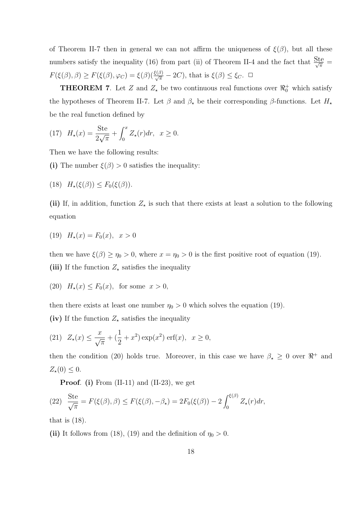of Theorem II-7 then in general we can not affirm the uniqueness of  $\xi(\beta)$ , but all these numbers satisfy the inequality (16) from part (ii) of Theorem II-4 and the fact that  $\frac{Ste}{\sqrt{\pi}}$  $F(\xi(\beta), \beta) \ge F(\xi(\beta), \varphi_C) = \xi(\beta)(\frac{\xi(\beta)}{\sqrt{\pi}} - 2C)$ , that is  $\xi(\beta) \le \xi_C$ .  $\Box$ 

**THEOREM 7**. Let *Z* and  $Z_{\star}$  be two continuous real functions over  $\mathbb{R}^+_0$  which satisfy the hypotheses of Theorem II-7. Let  $\beta$  and  $\beta_{\star}$  be their corresponding  $\beta$ -functions. Let  $H_{\star}$ be the real function defined by

(17) 
$$
H_*(x) = \frac{\text{Ste}}{2\sqrt{\pi}} + \int_0^x Z_*(r) dr, \ \ x \ge 0.
$$

Then we have the following results:

**(i)** The number  $\xi(\beta) > 0$  satisfies the inequality:

$$
(18) \quad H_{\star}(\xi(\beta)) \leq F_0(\xi(\beta)).
$$

(ii) If, in addition, function  $Z_{\star}$  is such that there exists at least a solution to the following equation

(19) 
$$
H_x(x) = F_0(x), \quad x > 0
$$

then we have  $\xi(\beta) \ge \eta_0 > 0$ , where  $x = \eta_0 > 0$  is the first positive root of equation (19).

(iii) If the function  $Z_{\star}$  satisfies the inequality

(20) 
$$
H_{\star}(x) \leq F_0(x)
$$
, for some  $x > 0$ ,

then there exists at least one number  $\eta_0 > 0$  which solves the equation (19).

(iv) If the function  $Z_{\star}$  satisfies the inequality

(21) 
$$
Z_{\star}(x) \le \frac{x}{\sqrt{\pi}} + (\frac{1}{2} + x^2) \exp(x^2) \operatorname{erf}(x), \ x \ge 0,
$$

then the condition (20) holds true. Moreover, in this case we have  $\beta_{\star} \geq 0$  over  $\Re^+$  and  $Z_{\star}(0) \leq 0.$ 

**Proof**. **(i)** From (II-11) and (II-23), we get

(22) 
$$
\frac{\text{Ste}}{\sqrt{\pi}} = F(\xi(\beta), \beta) \le F(\xi(\beta), -\beta_\star) = 2F_0(\xi(\beta)) - 2\int_0^{\xi(\beta)} Z_\star(r) dr,
$$

that is  $(18)$ .

(ii) It follows from (18), (19) and the definition of  $\eta_0 > 0$ .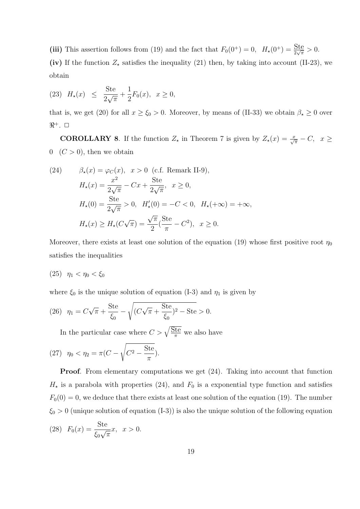(iii) This assertion follows from (19) and the fact that  $F_0(0^+) = 0$ ,  $H_\star(0^+) = \frac{\text{Ste}}{2\sqrt{\pi}} > 0$ . (iv) If the function  $Z_{\star}$  satisfies the inequality (21) then, by taking into account (II-23), we obtain

(23) 
$$
H_{\star}(x) \le \frac{\text{Ste}}{2\sqrt{\pi}} + \frac{1}{2}F_0(x), \ x \ge 0,
$$

that is, we get (20) for all  $x \ge \xi_0 > 0$ . Moreover, by means of (II-33) we obtain  $\beta_\star \ge 0$  over  $\Re^+$ . □

**COROLLARY 8**. If the function  $Z_{\star}$  in Theorem 7 is given by  $Z_{\star}(x) = \frac{x}{\sqrt{\pi}} - C$ ,  $x \ge$  $0 \quad (C > 0)$ , then we obtain

(24) 
$$
\beta_{\star}(x) = \varphi_C(x), \quad x > 0
$$
 (c.f. Remark II-9),  
\n $H_{\star}(x) = \frac{x^2}{2\sqrt{\pi}} - Cx + \frac{\text{Ste}}{2\sqrt{\pi}}, \quad x \ge 0,$   
\n $H_{\star}(0) = \frac{\text{Ste}}{2\sqrt{\pi}} > 0, \quad H'_{\star}(0) = -C < 0, \quad H_{\star}(+\infty) = +\infty,$   
\n $H_{\star}(x) \ge H_{\star}(C\sqrt{\pi}) = \frac{\sqrt{\pi}}{2} (\frac{\text{Ste}}{\pi} - C^2), \quad x \ge 0.$ 

Moreover, there exists at least one solution of the equation (19) whose first positive root  $\eta_0$ satisfies the inequalities

(25) 
$$
\eta_1 < \eta_0 < \xi_0
$$

where  $\xi_0$  is the unique solution of equation (I-3) and  $\eta_1$  is given by

(26) 
$$
\eta_1 = C\sqrt{\pi} + \frac{\text{Ste}}{\xi_0} - \sqrt{(C\sqrt{\pi} + \frac{\text{Ste}}{\xi_0})^2 - \text{Ste}} > 0.
$$

In the particular case where  $C > \sqrt{\frac{\text{Ste}}{\pi}}$  we also have

(27) 
$$
\eta_0 < \eta_2 = \pi (C - \sqrt{C^2 - \frac{\text{Ste}}{\pi}}).
$$

**Proof.** From elementary computations we get  $(24)$ . Taking into account that function  $H_{\star}$  is a parabola with properties (24), and  $F_0$  is a exponential type function and satisfies  $F_0(0) = 0$ , we deduce that there exists at least one solution of the equation (19). The number *ξ*<sup>0</sup> *>* 0 (unique solution of equation (I-3)) is also the unique solution of the following equation

(28) 
$$
F_0(x) = \frac{\text{Ste}}{\xi_0 \sqrt{\pi}} x, \ x > 0.
$$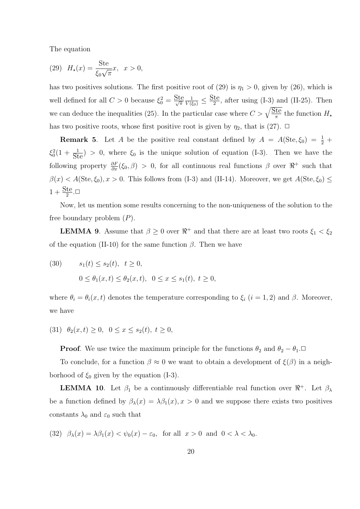The equation

(29) 
$$
H_{\star}(x) = \frac{\text{Ste}}{\xi_0 \sqrt{\pi}} x, \ \ x > 0,
$$

has two positives solutions. The first positive root of (29) is  $\eta_1 > 0$ , given by (26), which is well defined for all  $C > 0$  because  $\xi_0^2 = \frac{\text{Ste}}{\sqrt{\pi}}$  $\frac{1}{V(\xi_0)} \leq \frac{\text{Ste}}{2}$ , after using (I-3) and (II-25). Then we can deduce the inequalities (25). In the particular case where  $C > \sqrt{\frac{5te}{\pi}}$  the function  $H_{\star}$ has two positive roots, whose first positive root is given by  $\eta_2$ , that is (27).  $\Box$ 

**Remark 5**. Let *A* be the positive real constant defined by  $A = A(\text{Ste}, \xi_0) = \frac{1}{2} + \frac{1}{2}$  $\xi_0^2(1 + \frac{1}{\text{Ste}}) > 0$ , where  $\xi_0$  is the unique solution of equation (I-3). Then we have the following property  $\frac{\partial F}{\partial x}(\xi_0, \beta) > 0$ , for all continuous real functions  $\beta$  over  $\Re^+$  such that  $\beta(x) < A(\text{Ste}, \xi_0), x > 0$ . This follows from (I-3) and (II-14). Moreover, we get  $A(\text{Ste}, \xi_0) \le$  $1 + \frac{\text{Ste}}{2}$ . $\Box$ 

Now, let us mention some results concerning to the non-uniqueness of the solution to the free boundary problem (*P*).

**LEMMA 9**. Assume that  $\beta \geq 0$  over  $\Re^+$  and that there are at least two roots  $\xi_1 < \xi_2$ of the equation (II-10) for the same function  $\beta$ . Then we have

(30)  $s_1(t) \leq s_2(t), \quad t \geq 0,$  $0 \leq \theta_1(x,t) \leq \theta_2(x,t), \quad 0 \leq x \leq s_1(t), \ t \geq 0,$ 

where  $\theta_i = \theta_i(x, t)$  denotes the temperature corresponding to  $\xi_i$  (*i* = 1, 2) and  $\beta$ . Moreover, we have

 $(31)$   $\theta_2(x,t) \geq 0$ ,  $0 \leq x \leq s_2(t)$ ,  $t \geq 0$ ,

**Proof**. We use twice the maximum principle for the functions  $\theta_2$  and  $\theta_2 - \theta_1 \Box$ 

To conclude, for a function  $\beta \approx 0$  we want to obtain a development of  $\xi(\beta)$  in a neighborhood of  $\xi_0$  given by the equation (I-3).

**LEMMA 10**. Let  $\beta_1$  be a continuously differentiable real function over  $\Re^+$ . Let  $\beta_\lambda$ be a function defined by  $\beta_{\lambda}(x) = \lambda \beta_1(x)$ ,  $x > 0$  and we suppose there exists two positives constants  $\lambda_0$  and  $\varepsilon_0$  such that

(32)  $\beta_{\lambda}(x) = \lambda \beta_1(x) < \psi_0(x) - \varepsilon_0$ , for all  $x > 0$  and  $0 < \lambda < \lambda_0$ .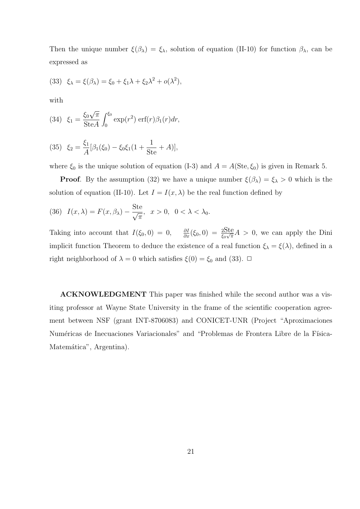Then the unique number  $\xi(\beta_\lambda) = \xi_\lambda$ , solution of equation (II-10) for function  $\beta_\lambda$ , can be expressed as

(33) 
$$
\xi_{\lambda} = \xi(\beta_{\lambda}) = \xi_0 + \xi_1 \lambda + \xi_2 \lambda^2 + o(\lambda^2),
$$

with

(34) 
$$
\xi_1 = \frac{\xi_0 \sqrt{\pi}}{\text{Ste} A} \int_0^{\xi_0} \exp(r^2) \, \text{erf}(r) \beta_1(r) dr,
$$

(35) 
$$
\xi_2 = \frac{\xi_1}{A} [\beta_1(\xi_0) - \xi_0 \xi_1 (1 + \frac{1}{\text{Ste}} + A)],
$$

where  $\xi_0$  is the unique solution of equation (I-3) and  $A = A(\text{Ste}, \xi_0)$  is given in Remark 5.

**Proof**. By the assumption (32) we have a unique number  $\xi(\beta_\lambda) = \xi_\lambda > 0$  which is the solution of equation (II-10). Let  $I = I(x, \lambda)$  be the real function defined by

(36) 
$$
I(x,\lambda) = F(x,\beta_{\lambda}) - \frac{\text{Ste}}{\sqrt{\pi}}, \quad x > 0, \quad 0 < \lambda < \lambda_0.
$$

Taking into account that  $I(\xi_0, 0) = 0$ ,  $\frac{\partial I}{\partial x}(\xi_0, 0) = \frac{2\text{Ste}}{\xi_0\sqrt{\pi}}A > 0$ , we can apply the Dini implicit function Theorem to deduce the existence of a real function  $\xi_{\lambda} = \xi(\lambda)$ , defined in a right neighborhood of  $\lambda = 0$  which satisfies  $\xi(0) = \xi_0$  and (33).  $\Box$ 

**ACKNOWLEDGMENT** This paper was finished while the second author was a visiting professor at Wayne State University in the frame of the scientific cooperation agreement between NSF (grant INT-8706083) and CONICET-UNR (Project "Aproximaciones Numéricas de Inecuaciones Variacionales" and "Problemas de Frontera Libre de la Física-Matemática", Argentina).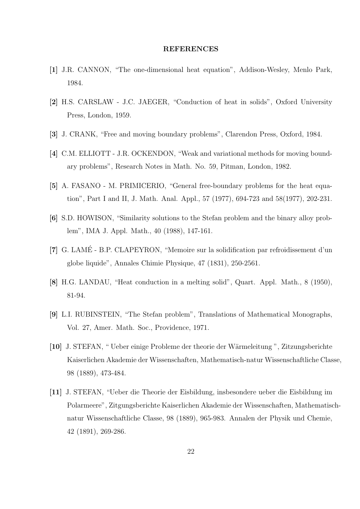#### **REFERENCES**

- **[1]** J.R. CANNON, "The one-dimensional heat equation", Addison-Wesley, Menlo Park, 1984.
- **[2]** H.S. CARSLAW J.C. JAEGER, "Conduction of heat in solids", Oxford University Press, London, 1959.
- **[3]** J. CRANK, "Free and moving boundary problems", Clarendon Press, Oxford, 1984.
- **[4]** C.M. ELLIOTT J.R. OCKENDON, "Weak and variational methods for moving boundary problems", Research Notes in Math. No. 59, Pitman, London, 1982.
- **[5]** A. FASANO M. PRIMICERIO, "General free-boundary problems for the heat equation", Part I and II, J. Math. Anal. Appl., 57 (1977), 694-723 and 58(1977), 202-231.
- **[6]** S.D. HOWISON, "Similarity solutions to the Stefan problem and the binary alloy problem", IMA J. Appl. Math., 40 (1988), 147-161.
- **[7]** G. LAME B.P. CLAPEYRON, "Memoire sur la solidification par refroidissement d'un ´ globe liquide", Annales Chimie Physique, 47 (1831), 250-2561.
- **[8]** H.G. LANDAU, "Heat conduction in a melting solid", Quart. Appl. Math., 8 (1950), 81-94.
- **[9]** L.I. RUBINSTEIN, "The Stefan problem", Translations of Mathematical Monographs, Vol. 27, Amer. Math. Soc., Providence, 1971.
- **[10]** J. STEFAN, " Ueber einige Probleme der theorie der W¨armeleitung ", Zitzungsberichte Kaiserlichen Akademie der Wissenschaften, Mathematisch-natur Wissenschaftliche Classe, 98 (1889), 473-484.
- **[11]** J. STEFAN, "Ueber die Theorie der Eisbildung, insbesondere ueber die Eisbildung im Polarmeere", Zitgungsberichte Kaiserlichen Akademie der Wissenschaften, Mathematischnatur Wissenschaftliche Classe, 98 (1889), 965-983. Annalen der Physik und Chemie, 42 (1891), 269-286.